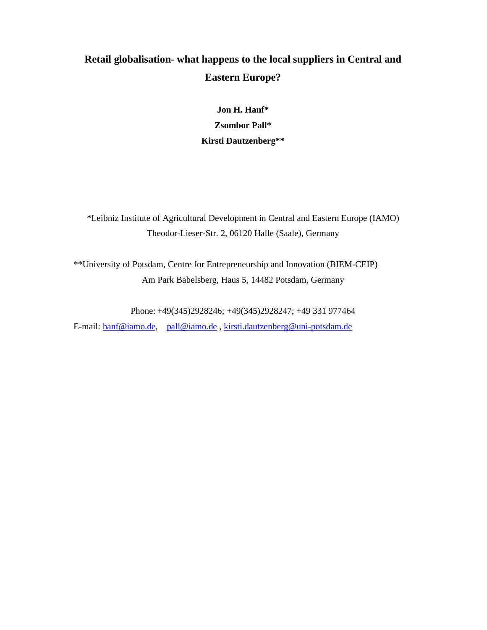# **Retail globalisation- what happens to the local suppliers in Central and Eastern Europe?**

**Jon H. Hanf\* Zsombor Pall\* Kirsti Dautzenberg\*\*** 

\*Leibniz Institute of Agricultural Development in Central and Eastern Europe (IAMO) Theodor-Lieser-Str. 2, 06120 Halle (Saale), Germany

\*\*University of Potsdam, Centre for Entrepreneurship and Innovation (BIEM-CEIP) Am Park Babelsberg, Haus 5, 14482 Potsdam, Germany

Phone: +49(345)2928246; +49(345)2928247; +49 331 977464 E-mail: hanf@iamo.de, pall@iamo.de , kirsti.dautzenberg@uni-potsdam.de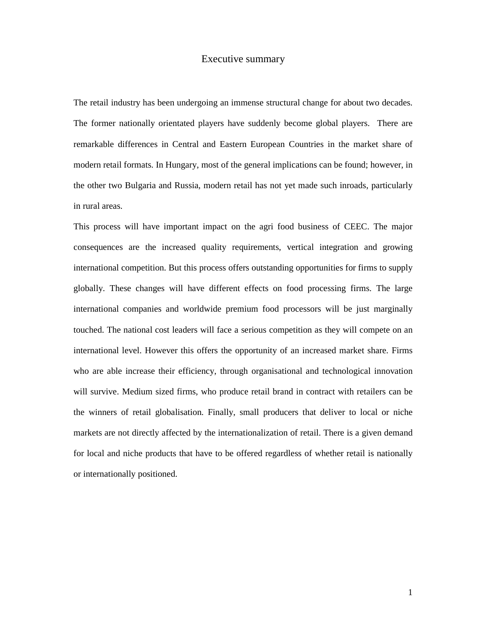#### Executive summary

The retail industry has been undergoing an immense structural change for about two decades. The former nationally orientated players have suddenly become global players. There are remarkable differences in Central and Eastern European Countries in the market share of modern retail formats. In Hungary, most of the general implications can be found; however, in the other two Bulgaria and Russia, modern retail has not yet made such inroads, particularly in rural areas.

This process will have important impact on the agri food business of CEEC. The major consequences are the increased quality requirements, vertical integration and growing international competition. But this process offers outstanding opportunities for firms to supply globally. These changes will have different effects on food processing firms. The large international companies and worldwide premium food processors will be just marginally touched. The national cost leaders will face a serious competition as they will compete on an international level. However this offers the opportunity of an increased market share. Firms who are able increase their efficiency, through organisational and technological innovation will survive. Medium sized firms, who produce retail brand in contract with retailers can be the winners of retail globalisation. Finally, small producers that deliver to local or niche markets are not directly affected by the internationalization of retail. There is a given demand for local and niche products that have to be offered regardless of whether retail is nationally or internationally positioned.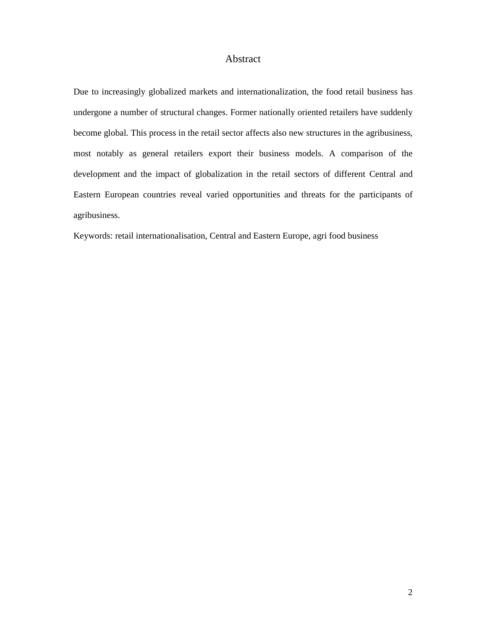## Abstract

Due to increasingly globalized markets and internationalization, the food retail business has undergone a number of structural changes. Former nationally oriented retailers have suddenly become global. This process in the retail sector affects also new structures in the agribusiness, most notably as general retailers export their business models. A comparison of the development and the impact of globalization in the retail sectors of different Central and Eastern European countries reveal varied opportunities and threats for the participants of agribusiness.

Keywords: retail internationalisation, Central and Eastern Europe, agri food business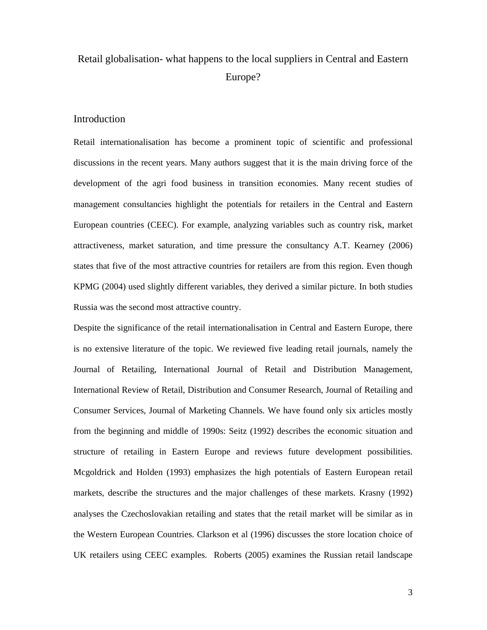# Retail globalisation- what happens to the local suppliers in Central and Eastern Europe?

#### Introduction

Retail internationalisation has become a prominent topic of scientific and professional discussions in the recent years. Many authors suggest that it is the main driving force of the development of the agri food business in transition economies. Many recent studies of management consultancies highlight the potentials for retailers in the Central and Eastern European countries (CEEC). For example, analyzing variables such as country risk, market attractiveness, market saturation, and time pressure the consultancy A.T. Kearney (2006) states that five of the most attractive countries for retailers are from this region. Even though KPMG (2004) used slightly different variables, they derived a similar picture. In both studies Russia was the second most attractive country.

Despite the significance of the retail internationalisation in Central and Eastern Europe, there is no extensive literature of the topic. We reviewed five leading retail journals, namely the Journal of Retailing, International Journal of Retail and Distribution Management, International Review of Retail, Distribution and Consumer Research, Journal of Retailing and Consumer Services, Journal of Marketing Channels. We have found only six articles mostly from the beginning and middle of 1990s: Seitz (1992) describes the economic situation and structure of retailing in Eastern Europe and reviews future development possibilities. Mcgoldrick and Holden (1993) emphasizes the high potentials of Eastern European retail markets, describe the structures and the major challenges of these markets. Krasny (1992) analyses the Czechoslovakian retailing and states that the retail market will be similar as in the Western European Countries. Clarkson et al (1996) discusses the store location choice of UK retailers using CEEC examples. Roberts (2005) examines the Russian retail landscape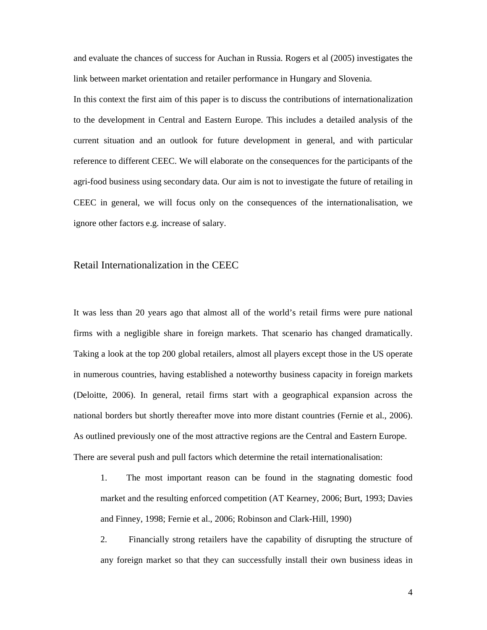and evaluate the chances of success for Auchan in Russia. Rogers et al (2005) investigates the link between market orientation and retailer performance in Hungary and Slovenia.

In this context the first aim of this paper is to discuss the contributions of internationalization to the development in Central and Eastern Europe. This includes a detailed analysis of the current situation and an outlook for future development in general, and with particular reference to different CEEC. We will elaborate on the consequences for the participants of the agri-food business using secondary data. Our aim is not to investigate the future of retailing in CEEC in general, we will focus only on the consequences of the internationalisation, we ignore other factors e.g. increase of salary.

#### Retail Internationalization in the CEEC

It was less than 20 years ago that almost all of the world's retail firms were pure national firms with a negligible share in foreign markets. That scenario has changed dramatically. Taking a look at the top 200 global retailers, almost all players except those in the US operate in numerous countries, having established a noteworthy business capacity in foreign markets (Deloitte, 2006). In general, retail firms start with a geographical expansion across the national borders but shortly thereafter move into more distant countries (Fernie et al., 2006). As outlined previously one of the most attractive regions are the Central and Eastern Europe. There are several push and pull factors which determine the retail internationalisation:

1. The most important reason can be found in the stagnating domestic food market and the resulting enforced competition (AT Kearney, 2006; Burt, 1993; Davies and Finney, 1998; Fernie et al., 2006; Robinson and Clark-Hill, 1990)

2. Financially strong retailers have the capability of disrupting the structure of any foreign market so that they can successfully install their own business ideas in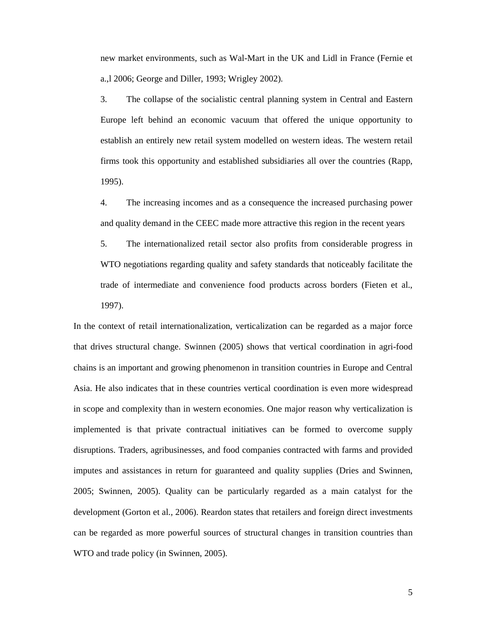new market environments, such as Wal-Mart in the UK and Lidl in France (Fernie et a.,l 2006; George and Diller, 1993; Wrigley 2002).

3. The collapse of the socialistic central planning system in Central and Eastern Europe left behind an economic vacuum that offered the unique opportunity to establish an entirely new retail system modelled on western ideas. The western retail firms took this opportunity and established subsidiaries all over the countries (Rapp, 1995).

4. The increasing incomes and as a consequence the increased purchasing power and quality demand in the CEEC made more attractive this region in the recent years

5. The internationalized retail sector also profits from considerable progress in WTO negotiations regarding quality and safety standards that noticeably facilitate the trade of intermediate and convenience food products across borders (Fieten et al., 1997).

In the context of retail internationalization, verticalization can be regarded as a major force that drives structural change. Swinnen (2005) shows that vertical coordination in agri-food chains is an important and growing phenomenon in transition countries in Europe and Central Asia. He also indicates that in these countries vertical coordination is even more widespread in scope and complexity than in western economies. One major reason why verticalization is implemented is that private contractual initiatives can be formed to overcome supply disruptions. Traders, agribusinesses, and food companies contracted with farms and provided imputes and assistances in return for guaranteed and quality supplies (Dries and Swinnen, 2005; Swinnen, 2005). Quality can be particularly regarded as a main catalyst for the development (Gorton et al., 2006). Reardon states that retailers and foreign direct investments can be regarded as more powerful sources of structural changes in transition countries than WTO and trade policy (in Swinnen, 2005).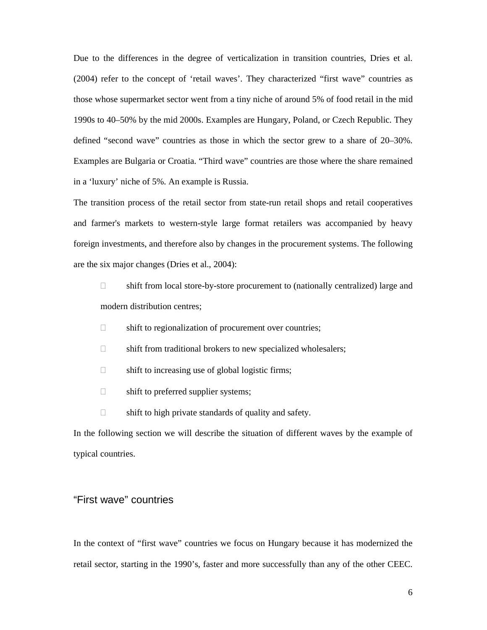Due to the differences in the degree of verticalization in transition countries, Dries et al. (2004) refer to the concept of 'retail waves'. They characterized "first wave" countries as those whose supermarket sector went from a tiny niche of around 5% of food retail in the mid 1990s to 40–50% by the mid 2000s. Examples are Hungary, Poland, or Czech Republic. They defined "second wave" countries as those in which the sector grew to a share of 20–30%. Examples are Bulgaria or Croatia. "Third wave" countries are those where the share remained in a 'luxury' niche of 5%. An example is Russia.

The transition process of the retail sector from state-run retail shops and retail cooperatives and farmer's markets to western-style large format retailers was accompanied by heavy foreign investments, and therefore also by changes in the procurement systems. The following are the six major changes (Dries et al., 2004):

 shift from local store-by-store procurement to (nationally centralized) large and modern distribution centres;

 shift to regionalization of procurement over countries; shift from traditional brokers to new specialized wholesalers; shift to increasing use of global logistic firms; shift to preferred supplier systems;

shift to high private standards of quality and safety.

In the following section we will describe the situation of different waves by the example of typical countries.

# "First wave" countries

In the context of "first wave" countries we focus on Hungary because it has modernized the retail sector, starting in the 1990's, faster and more successfully than any of the other CEEC.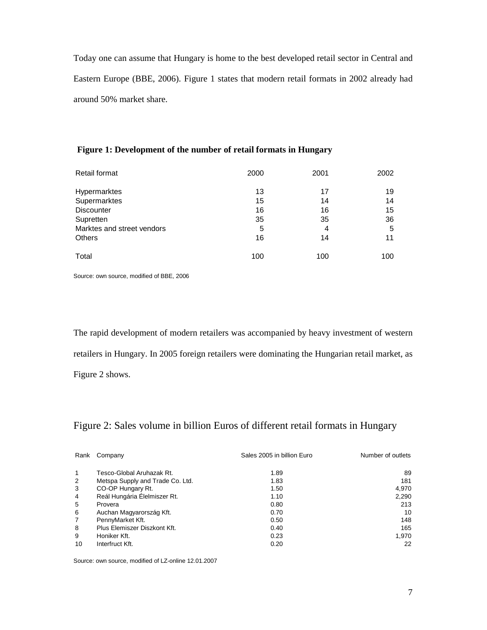Today one can assume that Hungary is home to the best developed retail sector in Central and Eastern Europe (BBE, 2006). Figure 1 states that modern retail formats in 2002 already had around 50% market share.

#### **Figure 1: Development of the number of retail formats in Hungary**

| Retail format              | 2000 | 2001 | 2002 |
|----------------------------|------|------|------|
| Hypermarktes               | 13   | 17   | 19   |
| Supermarktes               | 15   | 14   | 14   |
| <b>Discounter</b>          | 16   | 16   | 15   |
| Supretten                  | 35   | 35   | 36   |
| Marktes and street vendors | 5    | 4    | 5    |
| <b>Others</b>              | 16   | 14   | 11   |
| Total                      | 100  | 100  | 100  |

Source: own source, modified of BBE, 2006

The rapid development of modern retailers was accompanied by heavy investment of western retailers in Hungary. In 2005 foreign retailers were dominating the Hungarian retail market, as Figure 2 shows.

## Figure 2: Sales volume in billion Euros of different retail formats in Hungary

| Rank           | Company                          | Sales 2005 in billion Euro | Number of outlets |
|----------------|----------------------------------|----------------------------|-------------------|
| $\mathbf{1}$   | Tesco-Global Aruhazak Rt.        | 1.89                       | 89                |
| 2              | Metspa Supply and Trade Co. Ltd. | 1.83                       | 181               |
| 3              | CO-OP Hungary Rt.                | 1.50                       | 4.970             |
| $\overline{4}$ | Reál Hungária Élelmiszer Rt.     | 1.10                       | 2,290             |
| 5              | Provera                          | 0.80                       | 213               |
| 6              | Auchan Magyarország Kft.         | 0.70                       | 10                |
| 7              | PennyMarket Kft.                 | 0.50                       | 148               |
| 8              | Plus Elemiszer Diszkont Kft.     | 0.40                       | 165               |
| 9              | Honiker Kft.                     | 0.23                       | 1,970             |
| 10             | Interfruct Kft.                  | 0.20                       | 22                |

Source: own source, modified of LZ-online 12.01.2007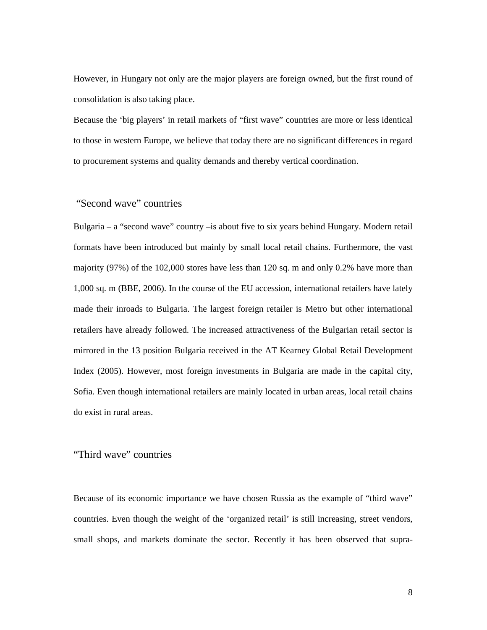However, in Hungary not only are the major players are foreign owned, but the first round of consolidation is also taking place.

Because the 'big players' in retail markets of "first wave" countries are more or less identical to those in western Europe, we believe that today there are no significant differences in regard to procurement systems and quality demands and thereby vertical coordination.

## "Second wave" countries

Bulgaria – a "second wave" country –is about five to six years behind Hungary. Modern retail formats have been introduced but mainly by small local retail chains. Furthermore, the vast majority (97%) of the 102,000 stores have less than 120 sq. m and only 0.2% have more than 1,000 sq. m (BBE, 2006). In the course of the EU accession, international retailers have lately made their inroads to Bulgaria. The largest foreign retailer is Metro but other international retailers have already followed. The increased attractiveness of the Bulgarian retail sector is mirrored in the 13 position Bulgaria received in the AT Kearney Global Retail Development Index (2005). However, most foreign investments in Bulgaria are made in the capital city, Sofia. Even though international retailers are mainly located in urban areas, local retail chains do exist in rural areas.

## "Third wave" countries

Because of its economic importance we have chosen Russia as the example of "third wave" countries. Even though the weight of the 'organized retail' is still increasing, street vendors, small shops, and markets dominate the sector. Recently it has been observed that supra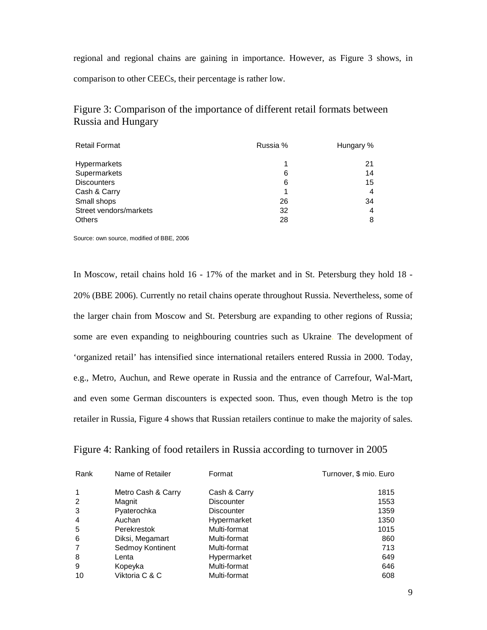regional and regional chains are gaining in importance. However, as Figure 3 shows, in comparison to other CEECs, their percentage is rather low.

# Figure 3: Comparison of the importance of different retail formats between Russia and Hungary

| <b>Retail Format</b>   | Russia % | Hungary % |
|------------------------|----------|-----------|
| <b>Hypermarkets</b>    |          | 21        |
| Supermarkets           | 6        | 14        |
| <b>Discounters</b>     | 6        | 15        |
| Cash & Carry           | 1        | 4         |
| Small shops            | 26       | 34        |
| Street vendors/markets | 32       | 4         |
| <b>Others</b>          | 28       | 8         |

Source: own source, modified of BBE, 2006

In Moscow, retail chains hold 16 - 17% of the market and in St. Petersburg they hold 18 - 20% (BBE 2006). Currently no retail chains operate throughout Russia. Nevertheless, some of the larger chain from Moscow and St. Petersburg are expanding to other regions of Russia; some are even expanding to neighbouring countries such as Ukraine. The development of 'organized retail' has intensified since international retailers entered Russia in 2000. Today, e.g., Metro, Auchun, and Rewe operate in Russia and the entrance of Carrefour, Wal-Mart, and even some German discounters is expected soon. Thus, even though Metro is the top retailer in Russia, Figure 4 shows that Russian retailers continue to make the majority of sales.

|  |  |  | Figure 4: Ranking of food retailers in Russia according to turnover in 2005 |
|--|--|--|-----------------------------------------------------------------------------|
|  |  |  |                                                                             |

| Rank           | Name of Retailer   | Format            | Turnover, \$ mio. Euro |
|----------------|--------------------|-------------------|------------------------|
| 1              | Metro Cash & Carry | Cash & Carry      | 1815                   |
| 2              | Magnit             | <b>Discounter</b> | 1553                   |
| 3              | Pyaterochka        | <b>Discounter</b> | 1359                   |
| $\overline{4}$ | Auchan             | Hypermarket       | 1350                   |
| 5              | Perekrestok        | Multi-format      | 1015                   |
| 6              | Diksi, Megamart    | Multi-format      | 860                    |
| $\overline{7}$ | Sedmoy Kontinent   | Multi-format      | 713                    |
| 8              | Lenta              | Hypermarket       | 649                    |
| 9              | Kopeyka            | Multi-format      | 646                    |
| 10             | Viktoria C & C     | Multi-format      | 608                    |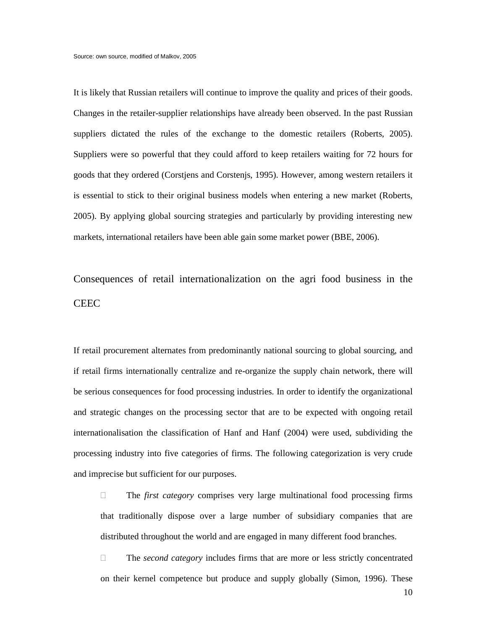It is likely that Russian retailers will continue to improve the quality and prices of their goods. Changes in the retailer-supplier relationships have already been observed. In the past Russian suppliers dictated the rules of the exchange to the domestic retailers (Roberts, 2005). Suppliers were so powerful that they could afford to keep retailers waiting for 72 hours for goods that they ordered (Corstjens and Corstenjs, 1995). However, among western retailers it is essential to stick to their original business models when entering a new market (Roberts, 2005). By applying global sourcing strategies and particularly by providing interesting new markets, international retailers have been able gain some market power (BBE, 2006).

Consequences of retail internationalization on the agri food business in the **CEEC** 

If retail procurement alternates from predominantly national sourcing to global sourcing, and if retail firms internationally centralize and re-organize the supply chain network, there will be serious consequences for food processing industries. In order to identify the organizational and strategic changes on the processing sector that are to be expected with ongoing retail internationalisation the classification of Hanf and Hanf (2004) were used, subdividing the processing industry into five categories of firms. The following categorization is very crude and imprecise but sufficient for our purposes.

 The *first category* comprises very large multinational food processing firms that traditionally dispose over a large number of subsidiary companies that are distributed throughout the world and are engaged in many different food branches.

 The *second category* includes firms that are more or less strictly concentrated on their kernel competence but produce and supply globally (Simon, 1996). These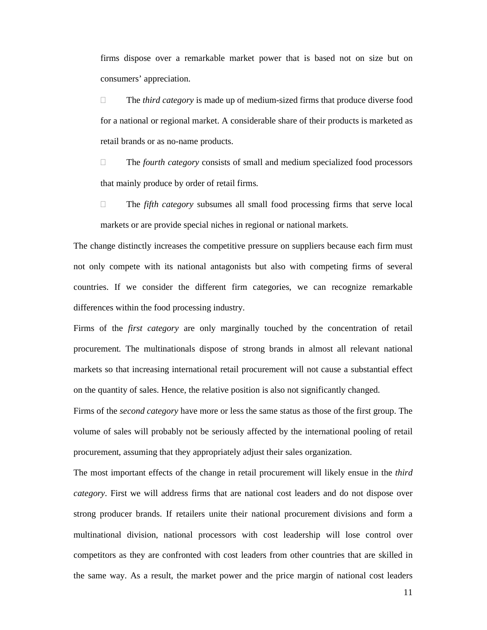firms dispose over a remarkable market power that is based not on size but on consumers' appreciation.

 The *third category* is made up of medium-sized firms that produce diverse food for a national or regional market. A considerable share of their products is marketed as retail brands or as no-name products.

 The *fourth category* consists of small and medium specialized food processors that mainly produce by order of retail firms.

 The *fifth category* subsumes all small food processing firms that serve local markets or are provide special niches in regional or national markets.

The change distinctly increases the competitive pressure on suppliers because each firm must not only compete with its national antagonists but also with competing firms of several countries. If we consider the different firm categories, we can recognize remarkable differences within the food processing industry.

Firms of the *first category* are only marginally touched by the concentration of retail procurement. The multinationals dispose of strong brands in almost all relevant national markets so that increasing international retail procurement will not cause a substantial effect on the quantity of sales. Hence, the relative position is also not significantly changed.

Firms of the *second category* have more or less the same status as those of the first group. The volume of sales will probably not be seriously affected by the international pooling of retail procurement, assuming that they appropriately adjust their sales organization.

The most important effects of the change in retail procurement will likely ensue in the *third category*. First we will address firms that are national cost leaders and do not dispose over strong producer brands. If retailers unite their national procurement divisions and form a multinational division, national processors with cost leadership will lose control over competitors as they are confronted with cost leaders from other countries that are skilled in the same way. As a result, the market power and the price margin of national cost leaders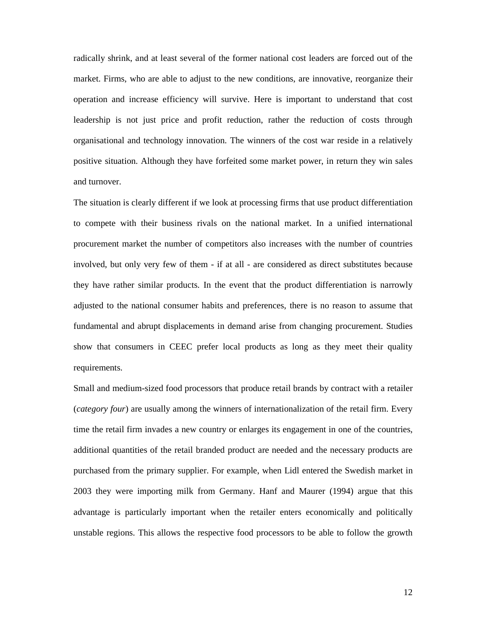radically shrink, and at least several of the former national cost leaders are forced out of the market. Firms, who are able to adjust to the new conditions, are innovative, reorganize their operation and increase efficiency will survive. Here is important to understand that cost leadership is not just price and profit reduction, rather the reduction of costs through organisational and technology innovation. The winners of the cost war reside in a relatively positive situation. Although they have forfeited some market power, in return they win sales and turnover.

The situation is clearly different if we look at processing firms that use product differentiation to compete with their business rivals on the national market. In a unified international procurement market the number of competitors also increases with the number of countries involved, but only very few of them - if at all - are considered as direct substitutes because they have rather similar products. In the event that the product differentiation is narrowly adjusted to the national consumer habits and preferences, there is no reason to assume that fundamental and abrupt displacements in demand arise from changing procurement. Studies show that consumers in CEEC prefer local products as long as they meet their quality requirements.

Small and medium-sized food processors that produce retail brands by contract with a retailer (*category four*) are usually among the winners of internationalization of the retail firm. Every time the retail firm invades a new country or enlarges its engagement in one of the countries, additional quantities of the retail branded product are needed and the necessary products are purchased from the primary supplier. For example, when Lidl entered the Swedish market in 2003 they were importing milk from Germany. Hanf and Maurer (1994) argue that this advantage is particularly important when the retailer enters economically and politically unstable regions. This allows the respective food processors to be able to follow the growth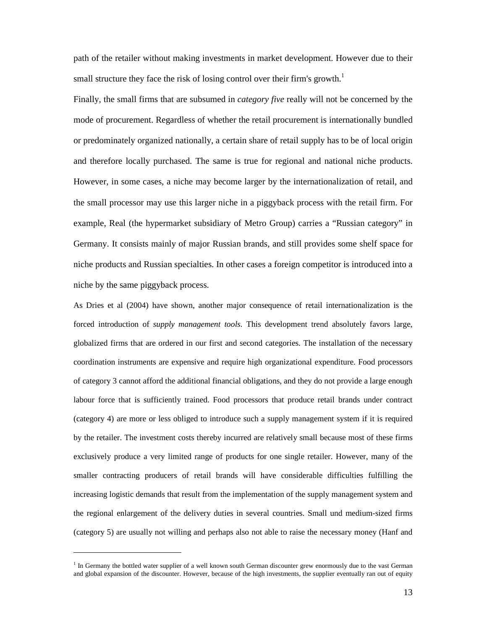path of the retailer without making investments in market development. However due to their small structure they face the risk of losing control over their firm's growth.<sup>1</sup>

Finally, the small firms that are subsumed in *category five* really will not be concerned by the mode of procurement. Regardless of whether the retail procurement is internationally bundled or predominately organized nationally, a certain share of retail supply has to be of local origin and therefore locally purchased. The same is true for regional and national niche products. However, in some cases, a niche may become larger by the internationalization of retail, and the small processor may use this larger niche in a piggyback process with the retail firm. For example, Real (the hypermarket subsidiary of Metro Group) carries a "Russian category" in Germany. It consists mainly of major Russian brands, and still provides some shelf space for niche products and Russian specialties. In other cases a foreign competitor is introduced into a niche by the same piggyback process.

As Dries et al (2004) have shown, another major consequence of retail internationalization is the forced introduction of *supply management tools*. This development trend absolutely favors large, globalized firms that are ordered in our first and second categories. The installation of the necessary coordination instruments are expensive and require high organizational expenditure. Food processors of category 3 cannot afford the additional financial obligations, and they do not provide a large enough labour force that is sufficiently trained. Food processors that produce retail brands under contract (category 4) are more or less obliged to introduce such a supply management system if it is required by the retailer. The investment costs thereby incurred are relatively small because most of these firms exclusively produce a very limited range of products for one single retailer. However, many of the smaller contracting producers of retail brands will have considerable difficulties fulfilling the increasing logistic demands that result from the implementation of the supply management system and the regional enlargement of the delivery duties in several countries. Small und medium-sized firms (category 5) are usually not willing and perhaps also not able to raise the necessary money (Hanf and

-

<sup>&</sup>lt;sup>1</sup> In Germany the bottled water supplier of a well known south German discounter grew enormously due to the vast German and global expansion of the discounter. However, because of the high investments, the supplier eventually ran out of equity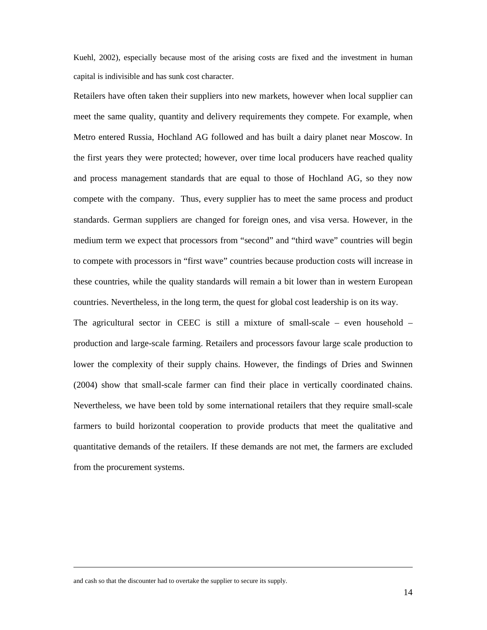Kuehl, 2002), especially because most of the arising costs are fixed and the investment in human capital is indivisible and has sunk cost character.

Retailers have often taken their suppliers into new markets, however when local supplier can meet the same quality, quantity and delivery requirements they compete. For example, when Metro entered Russia, Hochland AG followed and has built a dairy planet near Moscow. In the first years they were protected; however, over time local producers have reached quality and process management standards that are equal to those of Hochland AG, so they now compete with the company. Thus, every supplier has to meet the same process and product standards. German suppliers are changed for foreign ones, and visa versa. However, in the medium term we expect that processors from "second" and "third wave" countries will begin to compete with processors in "first wave" countries because production costs will increase in these countries, while the quality standards will remain a bit lower than in western European countries. Nevertheless, in the long term, the quest for global cost leadership is on its way.

The agricultural sector in CEEC is still a mixture of small-scale – even household – production and large-scale farming. Retailers and processors favour large scale production to lower the complexity of their supply chains. However, the findings of Dries and Swinnen (2004) show that small-scale farmer can find their place in vertically coordinated chains. Nevertheless, we have been told by some international retailers that they require small-scale farmers to build horizontal cooperation to provide products that meet the qualitative and quantitative demands of the retailers. If these demands are not met, the farmers are excluded from the procurement systems.

and cash so that the discounter had to overtake the supplier to secure its supply.

-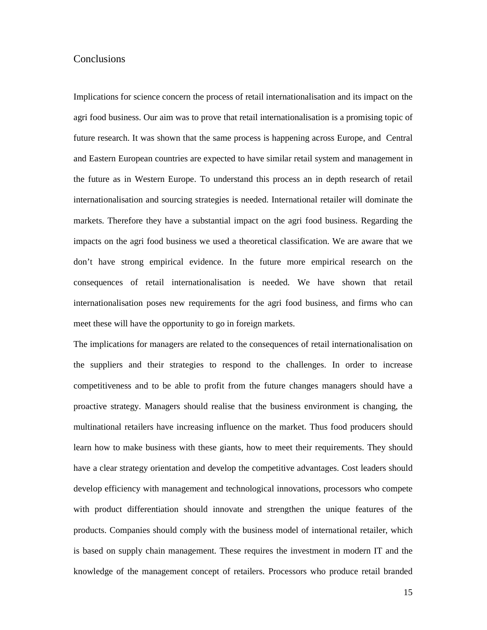### **Conclusions**

Implications for science concern the process of retail internationalisation and its impact on the agri food business. Our aim was to prove that retail internationalisation is a promising topic of future research. It was shown that the same process is happening across Europe, and Central and Eastern European countries are expected to have similar retail system and management in the future as in Western Europe. To understand this process an in depth research of retail internationalisation and sourcing strategies is needed. International retailer will dominate the markets. Therefore they have a substantial impact on the agri food business. Regarding the impacts on the agri food business we used a theoretical classification. We are aware that we don't have strong empirical evidence. In the future more empirical research on the consequences of retail internationalisation is needed. We have shown that retail internationalisation poses new requirements for the agri food business, and firms who can meet these will have the opportunity to go in foreign markets.

The implications for managers are related to the consequences of retail internationalisation on the suppliers and their strategies to respond to the challenges. In order to increase competitiveness and to be able to profit from the future changes managers should have a proactive strategy. Managers should realise that the business environment is changing, the multinational retailers have increasing influence on the market. Thus food producers should learn how to make business with these giants, how to meet their requirements. They should have a clear strategy orientation and develop the competitive advantages. Cost leaders should develop efficiency with management and technological innovations, processors who compete with product differentiation should innovate and strengthen the unique features of the products. Companies should comply with the business model of international retailer, which is based on supply chain management. These requires the investment in modern IT and the knowledge of the management concept of retailers. Processors who produce retail branded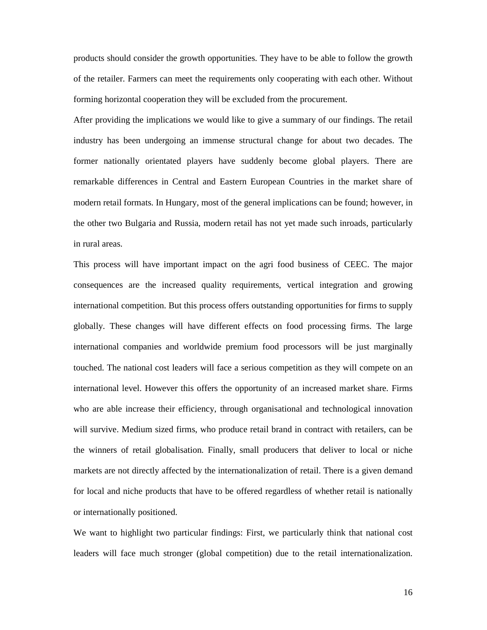products should consider the growth opportunities. They have to be able to follow the growth of the retailer. Farmers can meet the requirements only cooperating with each other. Without forming horizontal cooperation they will be excluded from the procurement.

After providing the implications we would like to give a summary of our findings. The retail industry has been undergoing an immense structural change for about two decades. The former nationally orientated players have suddenly become global players. There are remarkable differences in Central and Eastern European Countries in the market share of modern retail formats. In Hungary, most of the general implications can be found; however, in the other two Bulgaria and Russia, modern retail has not yet made such inroads, particularly in rural areas.

This process will have important impact on the agri food business of CEEC. The major consequences are the increased quality requirements, vertical integration and growing international competition. But this process offers outstanding opportunities for firms to supply globally. These changes will have different effects on food processing firms. The large international companies and worldwide premium food processors will be just marginally touched. The national cost leaders will face a serious competition as they will compete on an international level. However this offers the opportunity of an increased market share. Firms who are able increase their efficiency, through organisational and technological innovation will survive. Medium sized firms, who produce retail brand in contract with retailers, can be the winners of retail globalisation. Finally, small producers that deliver to local or niche markets are not directly affected by the internationalization of retail. There is a given demand for local and niche products that have to be offered regardless of whether retail is nationally or internationally positioned.

We want to highlight two particular findings: First, we particularly think that national cost leaders will face much stronger (global competition) due to the retail internationalization.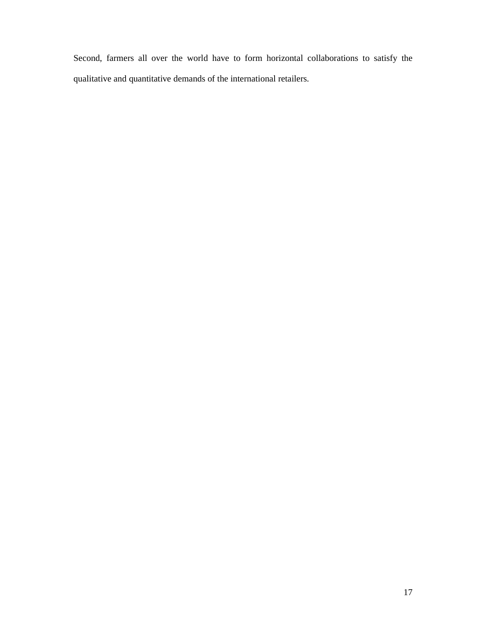Second, farmers all over the world have to form horizontal collaborations to satisfy the qualitative and quantitative demands of the international retailers.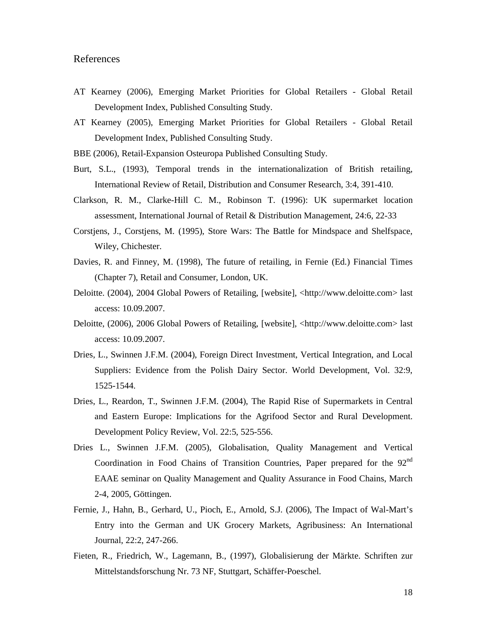## References

- AT Kearney (2006), Emerging Market Priorities for Global Retailers Global Retail Development Index, Published Consulting Study.
- AT Kearney (2005), Emerging Market Priorities for Global Retailers Global Retail Development Index, Published Consulting Study.
- BBE (2006), Retail-Expansion Osteuropa Published Consulting Study.
- Burt, S.L., (1993), Temporal trends in the internationalization of British retailing, International Review of Retail, Distribution and Consumer Research, 3:4, 391-410.
- Clarkson, R. M., Clarke-Hill C. M., Robinson T. (1996): UK supermarket location assessment, International Journal of Retail & Distribution Management, 24:6, 22-33
- Corstjens, J., Corstjens, M. (1995), Store Wars: The Battle for Mindspace and Shelfspace, Wiley, Chichester.
- Davies, R. and Finney, M. (1998), The future of retailing, in Fernie (Ed.) Financial Times (Chapter 7), Retail and Consumer, London, UK.
- Deloitte. (2004), 2004 Global Powers of Retailing, [website], <http://www.deloitte.com> last access: 10.09.2007.
- Deloitte, (2006), 2006 Global Powers of Retailing, [website], <http://www.deloitte.com> last access: 10.09.2007.
- Dries, L., Swinnen J.F.M. (2004), Foreign Direct Investment, Vertical Integration, and Local Suppliers: Evidence from the Polish Dairy Sector. World Development, Vol. 32:9, 1525-1544.
- Dries, L., Reardon, T., Swinnen J.F.M. (2004), The Rapid Rise of Supermarkets in Central and Eastern Europe: Implications for the Agrifood Sector and Rural Development. Development Policy Review, Vol. 22:5, 525-556.
- Dries L., Swinnen J.F.M. (2005), Globalisation, Quality Management and Vertical Coordination in Food Chains of Transition Countries, Paper prepared for the 92<sup>nd</sup> EAAE seminar on Quality Management and Quality Assurance in Food Chains, March 2-4, 2005, Göttingen.
- Fernie, J., Hahn, B., Gerhard, U., Pioch, E., Arnold, S.J. (2006), The Impact of Wal-Mart's Entry into the German and UK Grocery Markets, Agribusiness: An International Journal, 22:2, 247-266.
- Fieten, R., Friedrich, W., Lagemann, B., (1997), Globalisierung der Märkte. Schriften zur Mittelstandsforschung Nr. 73 NF, Stuttgart, Schäffer-Poeschel.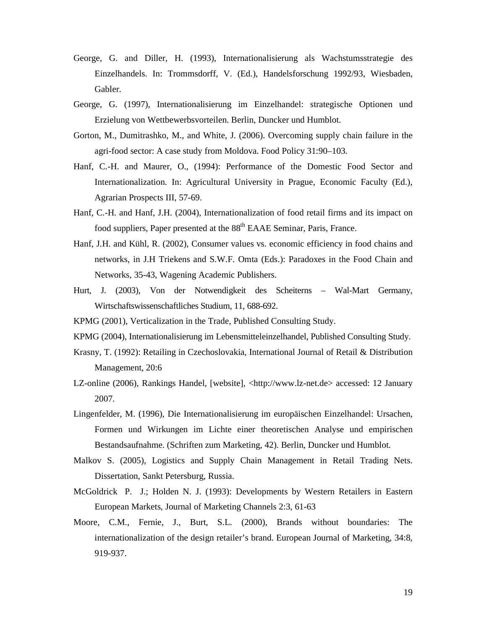- George, G. and Diller, H. (1993), Internationalisierung als Wachstumsstrategie des Einzelhandels. In: Trommsdorff, V. (Ed.), Handelsforschung 1992/93, Wiesbaden, Gabler.
- George, G. (1997), Internationalisierung im Einzelhandel: strategische Optionen und Erzielung von Wettbewerbsvorteilen. Berlin, Duncker und Humblot.
- Gorton, M., Dumitrashko, M., and White, J. (2006). Overcoming supply chain failure in the agri-food sector: A case study from Moldova. Food Policy 31:90–103.
- Hanf, C.-H. and Maurer, O., (1994): Performance of the Domestic Food Sector and Internationalization. In: Agricultural University in Prague, Economic Faculty (Ed.), Agrarian Prospects III, 57-69.
- Hanf, C.-H. and Hanf, J.H. (2004), Internationalization of food retail firms and its impact on food suppliers, Paper presented at the 88<sup>th</sup> EAAE Seminar, Paris, France.
- Hanf, J.H. and Kühl, R. (2002), Consumer values vs. economic efficiency in food chains and networks, in J.H Triekens and S.W.F. Omta (Eds.): Paradoxes in the Food Chain and Networks, 35-43, Wagening Academic Publishers.
- Hurt, J. (2003), Von der Notwendigkeit des Scheiterns Wal-Mart Germany, Wirtschaftswissenschaftliches Studium, 11, 688-692.
- KPMG (2001), Verticalization in the Trade, Published Consulting Study.
- KPMG (2004), Internationalisierung im Lebensmitteleinzelhandel, Published Consulting Study.
- Krasny, T. (1992): Retailing in Czechoslovakia, International Journal of Retail & Distribution Management, 20:6
- LZ-online (2006), Rankings Handel, [website], <http://www.lz-net.de> accessed: 12 January 2007.
- Lingenfelder, M. (1996), Die Internationalisierung im europäischen Einzelhandel: Ursachen, Formen und Wirkungen im Lichte einer theoretischen Analyse und empirischen Bestandsaufnahme. (Schriften zum Marketing, 42). Berlin, Duncker und Humblot.
- Malkov S. (2005), Logistics and Supply Chain Management in Retail Trading Nets. Dissertation, Sankt Petersburg, Russia.
- McGoldrick P. J.; Holden N. J. (1993): Developments by Western Retailers in Eastern European Markets, Journal of Marketing Channels 2:3, 61-63
- Moore, C.M., Fernie, J., Burt, S.L. (2000), Brands without boundaries: The internationalization of the design retailer's brand. European Journal of Marketing, 34:8, 919-937.